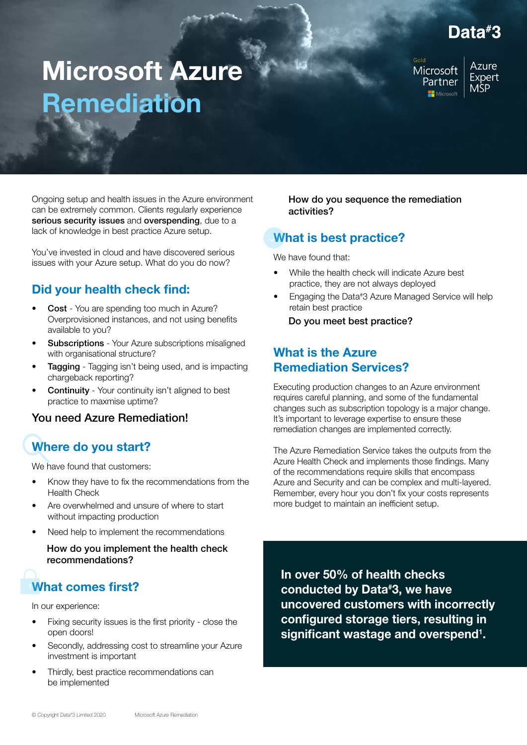## Data#3

# Microsoft Azure Remediation

Microsoft Partner Microsoft

**Azure** Expert **MSP** 

Ongoing setup and health issues in the Azure environment can be extremely common. Clients regularly experience serious security issues and overspending, due to a lack of knowledge in best practice Azure setup.

You've invested in cloud and have discovered serious issues with your Azure setup. What do you do now?

### Did your health check find:

- Cost You are spending too much in Azure? Overprovisioned instances, and not using benefits available to you?
- **Subscriptions** Your Azure subscriptions misaligned with organisational structure?
- **Tagging** Tagging isn't being used, and is impacting chargeback reporting?
- **Continuity** Your continuity isn't aligned to best practice to maxmise uptime?

#### You need Azure Remediation!

## Where do you start?

We have found that customers:

- Know they have to fix the recommendations from the Health Check
- Are overwhelmed and unsure of where to start without impacting production
- Need help to implement the recommendations

How do you implement the health check recommendations?

## What comes first?

In our experience:

- Fixing security issues is the first priority close the open doors!
- Secondly, addressing cost to streamline your Azure investment is important
- Thirdly, best practice recommendations can be implemented

How do you sequence the remediation activities?

### What is best practice?

We have found that:

- While the health check will indicate Azure best practice, they are not always deployed
- Engaging the Data#3 Azure Managed Service will help retain best practice

Do you meet best practice?

#### What is the Azure Remediation Services?

Executing production changes to an Azure environment requires careful planning, and some of the fundamental changes such as subscription topology is a major change. It's important to leverage expertise to ensure these remediation changes are implemented correctly.

The Azure Remediation Service takes the outputs from the Azure Health Check and implements those findings. Many of the recommendations require skills that encompass Azure and Security and can be complex and multi-layered. Remember, every hour you don't fix your costs represents more budget to maintain an inefficient setup.

In over 50% of health checks conducted by Data# 3, we have uncovered customers with incorrectly configured storage tiers, resulting in significant wastage and overspend<sup>1</sup>.